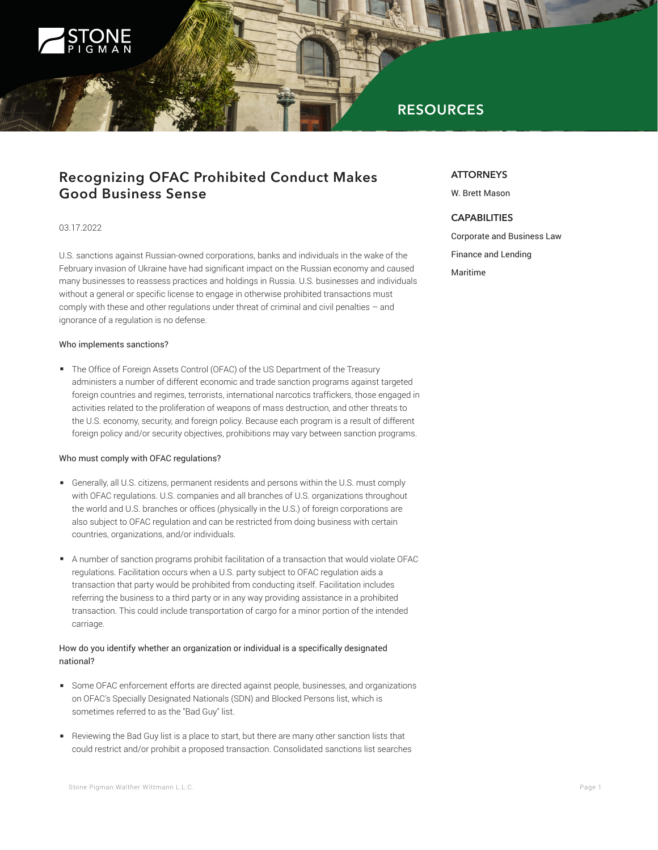

# **RESOURCES**

# **Recognizing OFAC Prohibited Conduct Makes Good Business Sense**

### 03.17.2022

U.S. sanctions against Russian-owned corporations, banks and individuals in the wake of the February invasion of Ukraine have had significant impact on the Russian economy and caused many businesses to reassess practices and holdings in Russia. U.S. businesses and individuals without a general or specific license to engage in otherwise prohibited transactions must comply with these and other regulations under threat of criminal and civil penalties – and ignorance of a regulation is no defense.

#### Who implements sanctions?

■ The Office of Foreign Assets Control (OFAC) of the US Department of the Treasury administers a number of different economic and trade sanction programs against targeted foreign countries and regimes, terrorists, international narcotics traffickers, those engaged in activities related to the proliferation of weapons of mass destruction, and other threats to the U.S. economy, security, and foreign policy. Because each program is a result of different foreign policy and/or security objectives, prohibitions may vary between sanction programs.

#### Who must comply with OFAC regulations?

- Generally, all U.S. citizens, permanent residents and persons within the U.S. must comply with OFAC regulations. U.S. companies and all branches of U.S. organizations throughout the world and U.S. branches or offices (physically in the U.S.) of foreign corporations are also subject to OFAC regulation and can be restricted from doing business with certain countries, organizations, and/or individuals.
- A number of sanction programs prohibit facilitation of a transaction that would violate OFAC regulations. Facilitation occurs when a U.S. party subject to OFAC regulation aids a transaction that party would be prohibited from conducting itself. Facilitation includes referring the business to a third party or in any way providing assistance in a prohibited transaction. This could include transportation of cargo for a minor portion of the intended carriage.

### How do you identify whether an organization or individual is a specifically designated national?

- Some OFAC enforcement efforts are directed against people, businesses, and organizations on OFAC's Specially Designated Nationals (SDN) and Blocked Persons list, which is sometimes referred to as the "Bad Guy" list.
- Reviewing the Bad Guy list is a place to start, but there are many other sanction lists that could restrict and/or prohibit a proposed transaction. Consolidated sanctions list searches

### Stone Pigman Walther Wittmann L.L.C. **Page 1** and the store of the store of the store Pigman Walther Wittmann L.L.C.

### **ATTORNEYS**

W. Brett Mason

## **CAPABILITIES**

Corporate and Business Law Finance and Lending Maritime